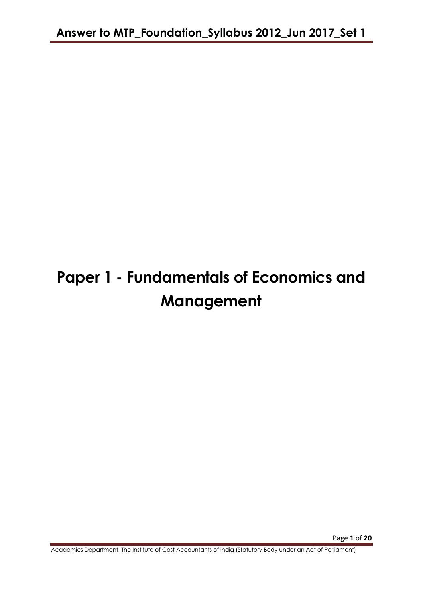# **Paper 1 - Fundamentals of Economics and Management**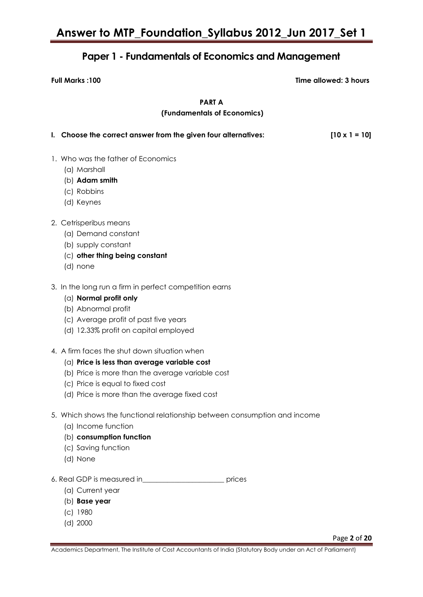### **Paper 1 - Fundamentals of Economics and Management**

**Full Marks :100 Time allowed: 3 hours**

**PART A**

#### **(Fundamentals of Economics)**

| I. Choose the correct answer from the given four alternatives:                     | $[10 \times 1 = 10]$ |
|------------------------------------------------------------------------------------|----------------------|
|                                                                                    |                      |
| 1. Who was the father of Economics                                                 |                      |
| (a) Marshall                                                                       |                      |
| (b) Adam smith                                                                     |                      |
| (c) Robbins                                                                        |                      |
| (d) Keynes                                                                         |                      |
| 2. Cetrisperibus means                                                             |                      |
| (a) Demand constant                                                                |                      |
| (b) supply constant                                                                |                      |
| (c) other thing being constant                                                     |                      |
| (d) none                                                                           |                      |
| 3. In the long run a firm in perfect competition earns<br>$(a)$ Normal profit only |                      |

- (b) Abnormal profit
- (c) Average profit of past five years
- (d) 12.33% profit on capital employed
- 4. A firm faces the shut down situation when
	- (a) **Price is less than average variable cost**
	- (b) Price is more than the average variable cost
	- (c) Price is equal to fixed cost
	- (d) Price is more than the average fixed cost
- 5. Which shows the functional relationship between consumption and income
	- (a) Income function
	- (b) **consumption function**
	- (c) Saving function
	- (d) None
- 6. Real GDP is measured in\_\_\_\_\_\_\_\_\_\_\_\_\_\_\_\_\_\_\_\_\_\_\_ prices
	- (a) Current year
	- (b) **Base year**
	- (c) 1980
	- (d) 2000

Page **2** of **20**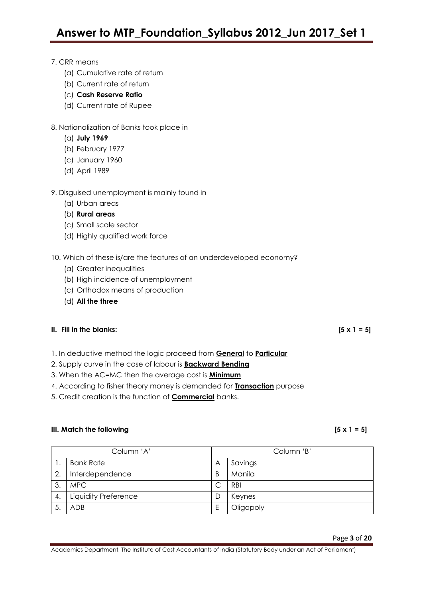#### 7. CRR means

- (a) Cumulative rate of return
- (b) Current rate of return
- (c) **Cash Reserve Ratio**
- (d) Current rate of Rupee

#### 8. Nationalization of Banks took place in

- (a) **July 1969**
- (b) February 1977
- (c) January 1960
- (d) April 1989

#### 9. Disguised unemployment is mainly found in

- (a) Urban areas
- (b) **Rural areas**
- (c) Small scale sector
- (d) Highly qualified work force
- 10. Which of these is/are the features of an underdeveloped economy?
	- (a) Greater inequalities
	- (b) High incidence of unemployment
	- (c) Orthodox means of production
	- (d) **All the three**

#### **II.** Fill in the blanks:  $[5 \times 1 = 5]$

- 1. In deductive method the logic proceed from **General** to **Particular**
- 2. Supply curve in the case of labour is **Backward Bending**
- 3. When the AC=MC then the average cost is **Minimum**
- 4. According to fisher theory money is demanded for **Transaction** purpose
- 5. Credit creation is the function of **Commercial** banks.

#### **III. Match the following [5 x 1 = 5]**

| Column 'A' |                      | Column 'B' |            |
|------------|----------------------|------------|------------|
|            | <b>Bank Rate</b>     | Α          | Savings    |
| 2.         | Interdependence      | B          | Manila     |
| 3.         | <b>MPC</b>           | С          | <b>RBI</b> |
| 4.         | Liquidity Preference | D          | Keynes     |
|            | <b>ADB</b>           | Ε          | Oligopoly  |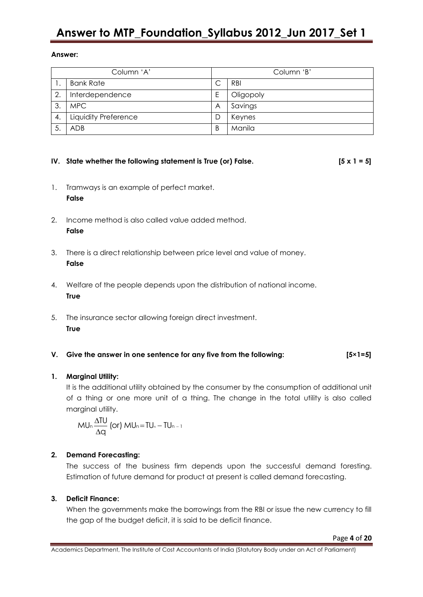#### **Answer:**

| Column 'A' |                      | Column 'B' |            |
|------------|----------------------|------------|------------|
|            | <b>Bank Rate</b>     |            | <b>RBI</b> |
| 2.         | Interdependence      | Ε          | Oligopoly  |
| 3.         | MPC.                 | A          | Savings    |
| 4.         | Liquidity Preference | D          | Keynes     |
| 5.         | <b>ADB</b>           | B          | Manila     |

### **IV. State whether the following statement is True (or) False. [5 x 1 = 5]**

- 1. Tramways is an example of perfect market. **False**
- 2. Income method is also called value added method. **False**
- 3. There is a direct relationship between price level and value of money. **False**
- 4. Welfare of the people depends upon the distribution of national income. **True**
- 5. The insurance sector allowing foreign direct investment. **True**

#### **V. Give the answer in one sentence for any five from the following: [5×1=5]**

#### **1. Marginal Utility:**

It is the additional utility obtained by the consumer by the consumption of additional unit of a thing or one more unit of a thing. The change in the total utility is also called marginal utility.

$$
MU_n \frac{\Delta TU}{\Delta q} \text{ (or) } MU_n = TU_n - TU_{n-1}
$$

#### **2. Demand Forecasting:**

The success of the business firm depends upon the successful demand foresting. Estimation of future demand for product at present is called demand forecasting.

#### **3. Deficit Finance:**

When the governments make the borrowings from the RBI or issue the new currency to fill the gap of the budget deficit, it is said to be deficit finance.

Page **4** of **20**

Academics Department, The Institute of Cost Accountants of India (Statutory Body under an Act of Parliament)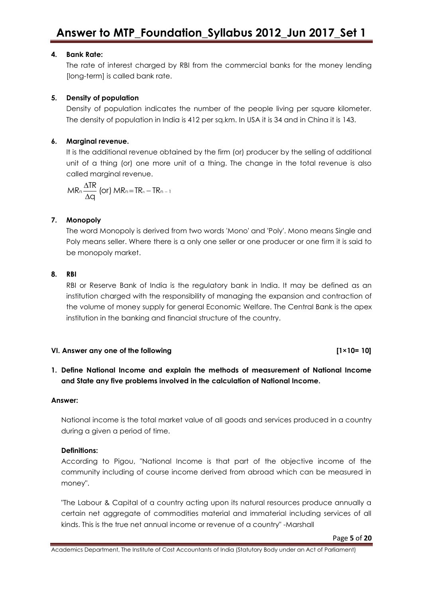#### **4. Bank Rate:**

The rate of interest charged by RBI from the commercial banks for the money lending [long-term] is called bank rate.

#### **5. Density of population**

Density of population indicates the number of the people living per square kilometer. The density of population in India is 412 per sq.km. In USA it is 34 and in China it is 143.

#### **6. Marginal revenue.**

It is the additional revenue obtained by the firm (or) producer by the selling of additional unit of a thing (or) one more unit of a thing. The change in the total revenue is also called marginal revenue.

 $MR_n \frac{\Delta TR}{\Delta q}$  (or)  $MR_n = TR_n - TR_{n-1}$ 

### **7. Monopoly**

The word Monopoly is derived from two words 'Mono' and 'Poly'. Mono means Single and Poly means seller. Where there is a only one seller or one producer or one firm it is said to be monopoly market.

#### **8. RBI**

RBI or Reserve Bank of India is the regulatory bank in India. It may be defined as an institution charged with the responsibility of managing the expansion and contraction of the volume of money supply for general Economic Welfare. The Central Bank is the apex institution in the banking and financial structure of the country.

#### **VI. Answer any one of the following [1×10= 10]**

**1. Define National Income and explain the methods of measurement of National Income and State any five problems involved in the calculation of National Income.**

#### **Answer:**

National income is the total market value of all goods and services produced in a country during a given a period of time.

#### **Definitions:**

According to Pigou, "National Income is that part of the objective income of the community including of course income derived from abroad which can be measured in money".

"The Labour & Capital of a country acting upon its natural resources produce annually a certain net aggregate of commodities material and immaterial including services of all kinds. This is the true net annual income or revenue of a country" -Marshall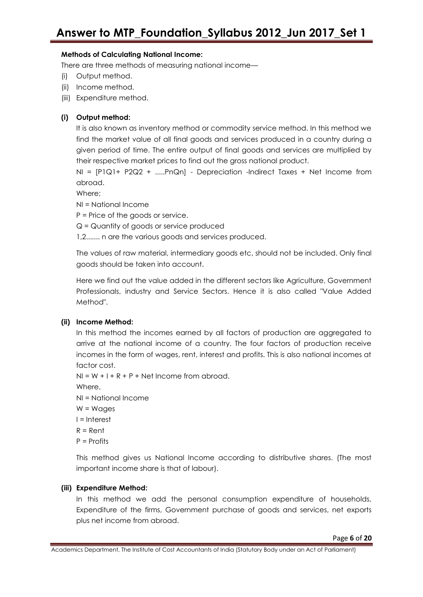### **Methods of Calculating National Income:**

There are three methods of measuring national income—

- (i) Output method.
- (ii) Income method.
- (iii) Expenditure method.

### **(i) Output method:**

It is also known as inventory method or commodity service method. In this method we find the market value of all final goods and services produced in a country during a given period of time. The entire output of final goods and services are multiplied by their respective market prices to find out the gross national product.

 $NI = [P1Q1 + P2Q2 + ... PnQn] - Depreciation -Indirect Taxes + Net Income from$ abroad.

Where;

NI = National Income

P = Price of the goods or service.

Q = Quantity of goods or service produced

1,2....... n are the various goods and services produced.

The values of raw material, intermediary goods etc, should not be included. Only final goods should be taken into account.

Here we find out the value added in the different sectors like Agriculture, Government Professionals, industry and Service Sectors. Hence it is also called "Value Added Method".

### **(ii) Income Method:**

In this method the incomes earned by all factors of production are aggregated to arrive at the national income of a country. The four factors of production receive incomes in the form of wages, rent, interest and profits. This is also national incomes at factor cost.

```
NI = W + I + R + P + Net Income from abroad.
```
Where,

- NI = National Income
- $W = W$ ages
- I = Interest
- $R =$  Rent
- P = Profits

This method gives us National Income according to distributive shares. (The most important income share is that of labour).

### **(iii) Expenditure Method:**

In this method we add the personal consumption expenditure of households, Expenditure of the firms, Government purchase of goods and services, net exports plus net income from abroad.

Academics Department, The Institute of Cost Accountants of India (Statutory Body under an Act of Parliament)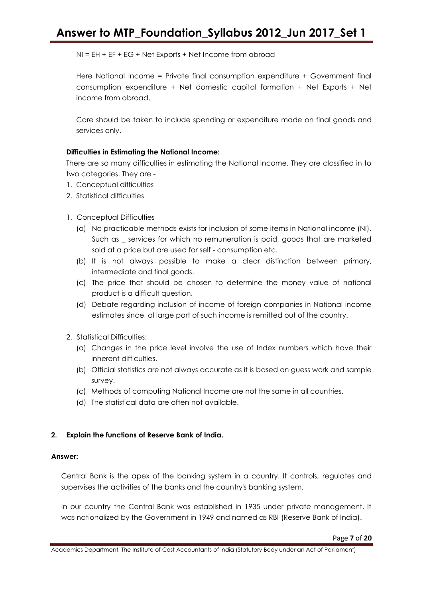NI = EH + EF + EG + Net Exports + Net Income from abroad

Here National Income = Private final consumption expenditure + Government final consumption expenditure + Net domestic capital formation + Net Exports + Net income from abroad.

Care should be taken to include spending or expenditure made on final goods and services only.

#### **Difficulties in Estimating the National Income:**

There are so many difficulties in estimating the National Income. They are classified in to two categories. They are -

- 1. Conceptual difficulties
- 2. Statistical difficulties
- 1. Conceptual Difficulties
	- (a) No practicable methods exists for inclusion of some items in National income (NI), Such as \_ services for which no remuneration is paid, goods that are marketed sold at a price but are used for self - consumption etc.
	- (b) It is not always possible to make a clear distinction between primary, intermediate and final goods.
	- (c) The price that should be chosen to determine the money value of national product is a difficult question.
	- (d) Debate regarding inclusion of income of foreign companies in National income estimates since, al large part of such income is remitted out of the country.
- 2. Statistical Difficulties:
	- (a) Changes in the price level involve the use of Index numbers which have their inherent difficulties.
	- (b) Official statistics are not always accurate as it is based on guess work and sample survey.
	- (c) Methods of computing National Income are not the same in all countries.
	- (d) The statistical data are often not available.

#### **2. Explain the functions of Reserve Bank of India.**

#### **Answer:**

Central Bank is the apex of the banking system in a country. It controls, regulates and supervises the activities of the banks and the country's banking system.

In our country the Central Bank was established in 1935 under private management. It was nationalized by the Government in 1949 and named as RBI (Reserve Bank of India).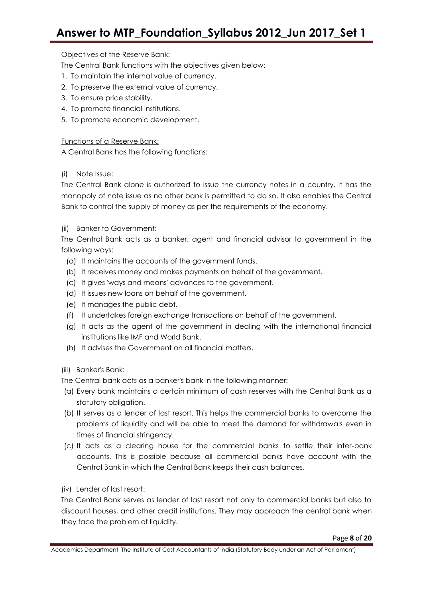#### Objectives of the Reserve Bank:

The Central Bank functions with the objectives given below:

- 1. To maintain the internal value of currency.
- 2. To preserve the external value of currency.
- 3. To ensure price stability.
- 4. To promote financial institutions.
- 5. To promote economic development.

#### Functions of a Reserve Bank:

A Central Bank has the following functions:

#### (i) Note Issue:

The Central Bank alone is authorized to issue the currency notes in a country. It has the monopoly of note issue as no other bank is permitted to do so. It also enables the Central Bank to control the supply of money as per the requirements of the economy.

#### (ii) Banker to Government:

The Central Bank acts as a banker, agent and financial advisor to government in the following ways:

- (a) It maintains the accounts of the government funds.
- (b) It receives money and makes payments on behalf of the government.
- (c) It gives 'ways and means' advances to the government.
- (d) It issues new loans on behalf of the government.
- (e) It manages the public debt.
- (f) It undertakes foreign exchange transactions on behalf of the government.
- (g) It acts as the agent of the government in dealing with the international financial institutions like IMF and World Bank.
- (h) It advises the Government on all financial matters.
- (iii) Banker's Bank:
- The Central bank acts as a banker's bank in the following manner:
- (a) Every bank maintains a certain minimum of cash reserves with the Central Bank as a statutory obligation.
- (b) It serves as a lender of last resort. This helps the commercial banks to overcome the problems of liquidity and will be able to meet the demand for withdrawals even in times of financial stringency.
- (c) It acts as a clearing house for the commercial banks to settle their inter-bank accounts. This is possible because all commercial banks have account with the Central Bank in which the Central Bank keeps their cash balances.
- (iv) Lender of last resort:

The Central Bank serves as lender of last resort not only to commercial banks but also to discount houses, and other credit institutions. They may approach the central bank when they face the problem of liquidity.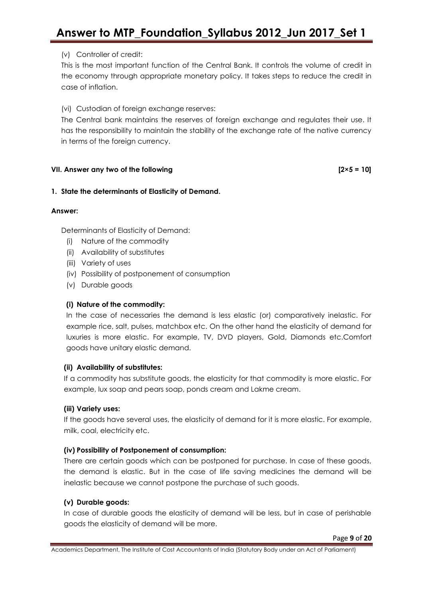### (v) Controller of credit:

This is the most important function of the Central Bank. It controls the volume of credit in the economy through appropriate monetary policy. It takes steps to reduce the credit in case of inflation.

(vi) Custodian of foreign exchange reserves:

The Central bank maintains the reserves of foreign exchange and regulates their use. It has the responsibility to maintain the stability of the exchange rate of the native currency in terms of the foreign currency.

#### **VII. Answer any two of the following [2×5 = 10]**

#### **1. State the determinants of Elasticity of Demand.**

#### **Answer:**

Determinants of Elasticity of Demand:

- (i) Nature of the commodity
- (ii) Availability of substitutes
- (iii) Variety of uses
- (iv) Possibility of postponement of consumption
- (v) Durable goods

#### **(i) Nature of the commodity:**

In the case of necessaries the demand is less elastic (or) comparatively inelastic. For example rice, salt, pulses, matchbox etc. On the other hand the elasticity of demand for luxuries is more elastic. For example, TV, DVD players, Gold, Diamonds etc.Comfort goods have unitary elastic demand.

#### **(ii) Availability of substitutes:**

If a commodity has substitute goods, the elasticity for that commodity is more elastic. For example, lux soap and pears soap, ponds cream and Lakme cream.

#### **(iii) Variety uses:**

If the goods have several uses, the elasticity of demand for it is more elastic. For example, milk, coal, electricity etc.

#### **(iv) Possibility of Postponement of consumption:**

There are certain goods which can be postponed for purchase. In case of these goods, the demand is elastic. But in the case of life saving medicines the demand will be inelastic because we cannot postpone the purchase of such goods.

#### **(v) Durable goods:**

In case of durable goods the elasticity of demand will be less, but in case of perishable goods the elasticity of demand will be more.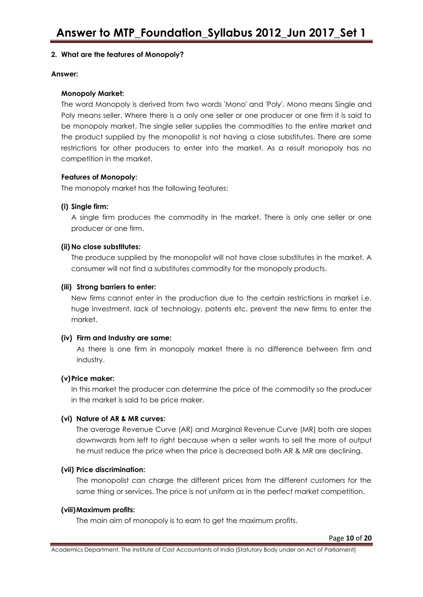#### **2. What are the features of Monopoly?**

#### **Answer:**

#### **Monopoly Market:**

The word Monopoly is derived from two words 'Mono' and 'Poly'. Mono means Single and Poly means seller. Where there is a only one seller or one producer or one firm it is said to be monopoly market. The single seller supplies the commodities to the entire market and the product supplied by the monopolist is not having a close substitutes. There are some restrictions for other producers to enter into the market. As a result monopoly has no competition in the market.

#### **Features of Monopoly:**

The monopoly market has the following features:

#### **(i) Single firm:**

A single firm produces the commodity in the market. There is only one seller or one producer or one firm.

#### **(ii) No close substitutes:**

The produce supplied by the monopolist will not have close substitutes in the market. A consumer will not find a substitutes commodity for the monopoly products.

#### **(iii) Strong barriers to enter:**

New firms cannot enter in the production due to the certain restrictions in market i.e. huge investment, lack of technology, patents etc. prevent the new firms to enter the market.

#### **(iv) Firm and Industry are same:**

As there is one firm in monopoly market there is no difference between firm and industry.

#### **(v)Price maker:**

In this market the producer can determine the price of the commodity so the producer in the market is said to be price maker.

#### **(vi) Nature of AR & MR curves:**

The average Revenue Curve (AR) and Marginal Revenue Curve (MR) both are slopes downwards from left to right because when a seller wants to sell the more of output he must reduce the price when the price is decreased both AR & MR are declining.

#### **(vii) Price discrimination:**

The monopolist can charge the different prices from the different customers for the same thing or services. The price is not uniform as in the perfect market competition.

#### **(viii)Maximum profits:**

The main aim of monopoly is to earn to get the maximum profits.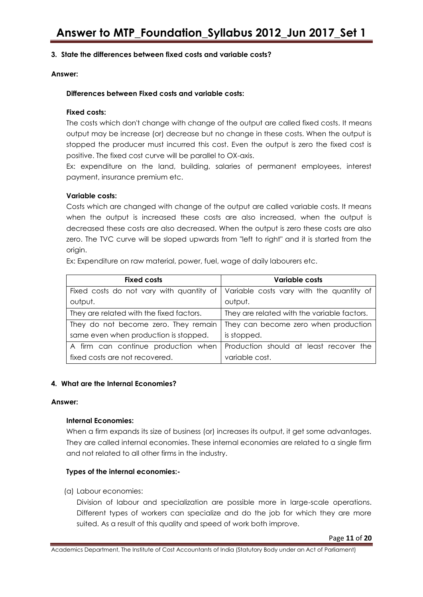#### **3. State the differences between fixed costs and variable costs?**

**Answer:**

#### **Differences between Fixed costs and variable costs:**

#### **Fixed costs:**

The costs which don't change with change of the output are called fixed costs. It means output may be increase (or) decrease but no change in these costs. When the output is stopped the producer must incurred this cost. Even the output is zero the fixed cost is positive. The fixed cost curve will be parallel to OX-axis.

Ex: expenditure on the land, building, salaries of permanent employees, interest payment, insurance premium etc.

#### **Variable costs:**

Costs which are changed with change of the output are called variable costs. It means when the output is increased these costs are also increased, when the output is decreased these costs are also decreased. When the output is zero these costs are also zero. The TVC curve will be sloped upwards from "left to right" and it is started from the origin.

Ex: Expenditure on raw material, power, fuel, wage of daily labourers etc.

| <b>Fixed costs</b>                       | Variable costs                              |
|------------------------------------------|---------------------------------------------|
| Fixed costs do not vary with quantity of | Variable costs vary with the quantity of    |
| output.                                  | output.                                     |
| They are related with the fixed factors. | They are related with the variable factors. |
| They do not become zero. They remain     | They can become zero when production        |
| same even when production is stopped.    | is stopped.                                 |
| A firm can continue production when      | Production should at least recover the      |
| fixed costs are not recovered.           | variable cost.                              |

#### **4. What are the Internal Economies?**

#### **Answer:**

#### **Internal Economies:**

When a firm expands its size of business (or) increases its output, it get some advantages. They are called internal economies. These internal economies are related to a single firm and not related to all other firms in the industry.

#### **Types of the internal economies:-**

(a) Labour economies:

Division of labour and specialization are possible more in large-scale operations. Different types of workers can specialize and do the job for which they are more suited. As a result of this quality and speed of work both improve.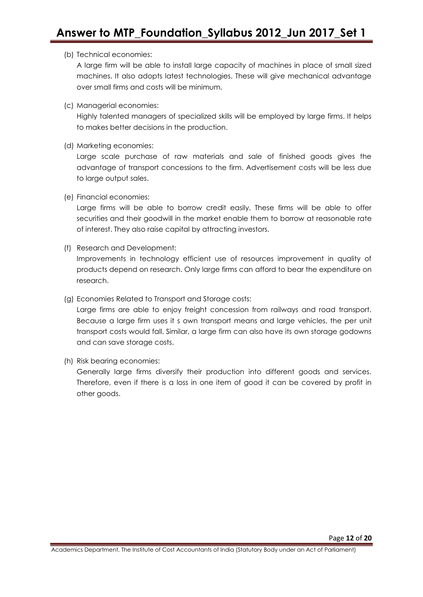#### (b) Technical economies:

A large firm will be able to install large capacity of machines in place of small sized machines. It also adopts latest technologies. These will give mechanical advantage over small firms and costs will be minimum.

(c) Managerial economies:

Highly talented managers of specialized skills will be employed by large firms. It helps to makes better decisions in the production.

(d) Marketing economies:

Large scale purchase of raw materials and sale of finished goods gives the advantage of transport concessions to the firm. Advertisement costs will be less due to large output sales.

(e) Financial economies:

Large firms will be able to borrow credit easily. These firms will be able to offer securities and their goodwill in the market enable them to borrow at reasonable rate of interest. They also raise capital by attracting investors.

(f) Research and Development:

Improvements in technology efficient use of resources improvement in quality of products depend on research. Only large firms can afford to bear the expenditure on research.

(g) Economies Related to Transport and Storage costs:

Large firms are able to enjoy freight concession from railways and road transport. Because a large firm uses it s own transport means and large vehicles, the per unit transport costs would fall. Similar, a large firm can also have its own storage godowns and can save storage costs.

(h) Risk bearing economies:

Generally large firms diversify their production into different goods and services. Therefore, even if there is a loss in one item of good it can be covered by profit in other goods.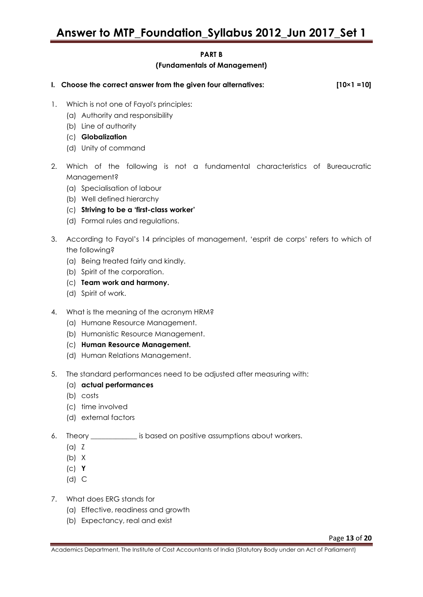### **PART B**

#### **(Fundamentals of Management)**

| I. Choose the correct answer from the given four alternatives: | $[10 \times 1 = 10]$ |
|----------------------------------------------------------------|----------------------|
|                                                                |                      |

- 1. Which is not one of Fayol's principles:
	- (a) Authority and responsibility
	- (b) Line of authority
	- (c) **Globalization**
	- (d) Unity of command
- 2. Which of the following is not a fundamental characteristics of Bureaucratic Management?
	- (a) Specialisation of labour
	- (b) Well defined hierarchy
	- (c) **Striving to be a 'first-class worker'**
	- (d) Formal rules and regulations.
- 3. According to Fayol's 14 principles of management, ‗esprit de corps' refers to which of the following?
	- (a) Being treated fairly and kindly.
	- (b) Spirit of the corporation.
	- (c) **Team work and harmony.**
	- (d) Spirit of work.
- 4. What is the meaning of the acronym HRM?
	- (a) Humane Resource Management.
	- (b) Humanistic Resource Management.
	- (c) **Human Resource Management.**
	- (d) Human Relations Management.
- 5. The standard performances need to be adjusted after measuring with:
	- (a) **actual performances**
	- (b) costs
	- (c) time involved
	- (d) external factors
- 6. Theory \_\_\_\_\_\_\_\_\_\_\_\_\_ is based on positive assumptions about workers.
	- (a) Z
	- (b) X
	- (c) **Y**
	- (d) C
- 7. What does ERG stands for
	- (a) Effective, readiness and growth
	- (b) Expectancy, real and exist

Page **13** of **20**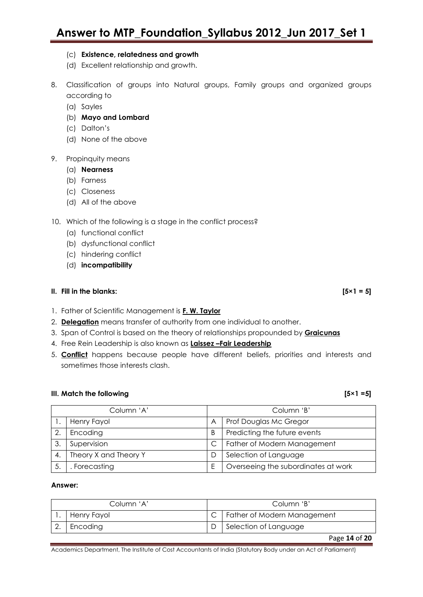- (c) **Existence, relatedness and growth**
- (d) Excellent relationship and growth.
- 8. Classification of groups into Natural groups, Family groups and organized groups according to
	- (a) Sayles
	- (b) **Mayo and Lombard**
	- (c) Dalton's
	- (d) None of the above

#### 9. Propinquity means

- (a) **Nearness**
- (b) Farness
- (c) Closeness
- (d) All of the above

#### 10. Which of the following is a stage in the conflict process?

- (a) functional conflict
- (b) dysfunctional conflict
- (c) hindering conflict
- (d) **incompatibility**

#### **II.** Fill in the blanks:  $[5 \times 1 = 5]$

- 1. Father of Scientific Management is **F. W. Taylor**
- 2. **Delegation** means transfer of authority from one individual to another.
- 3. Span of Control is based on the theory of relationships propounded by **Graicunas**
- 4. Free Rein Leadership is also known as **Laissez –Fair Leadership**
- 5. **Conflict** happens because people have different beliefs, priorities and interests and sometimes those interests clash.

#### **III.** Match the following **contained a set of the following contained a set of the following set of the following set of the following set of the following set of the following set of the following set of the following se**

| Column 'A' |                       | Column 'B' |                                     |
|------------|-----------------------|------------|-------------------------------------|
|            | Henry Fayol           | A          | Prof Douglas Mc Gregor              |
| 2.         | Encoding              | B          | Predicting the future events        |
| 3.         | Supervision           |            | Father of Modern Management         |
| 4.         | Theory X and Theory Y |            | Selection of Language               |
|            | Forecasting           |            | Overseeing the subordinates at work |

#### **Answer:**

| Column 'A' |             | Column 'B' |                             |
|------------|-------------|------------|-----------------------------|
|            | Henry Fayol |            | Father of Modern Management |
|            | Encoding    |            | Selection of Language       |
|            |             |            | Page 14 of 20               |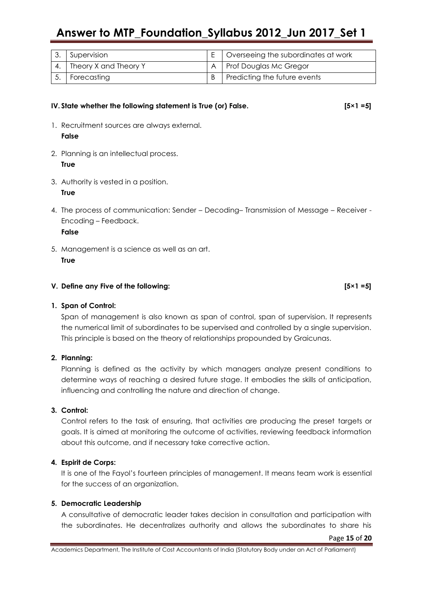| 3. Supervision           | $E$   Overseeing the subordinates at work |
|--------------------------|-------------------------------------------|
| 4. Theory X and Theory Y | A   Prof Douglas Mc Gregor                |
| Forecasting              | Predicting the future events              |

#### **IV. State whether the following statement is True (or) False. [5×1 =5]**

- 1. Recruitment sources are always external. **False**
- 2. Planning is an intellectual process. **True**
- 3. Authority is vested in a position. **True**
- 4. The process of communication: Sender Decoding– Transmission of Message Receiver Encoding – Feedback. **False**

5. Management is a science as well as an art. **True**

#### **V. Define any Five of the following: [5×1 =5]**

#### **1. Span of Control:**

Span of management is also known as span of control, span of supervision. It represents the numerical limit of subordinates to be supervised and controlled by a single supervision. This principle is based on the theory of relationships propounded by Graicunas.

#### **2. Planning:**

Planning is defined as the activity by which managers analyze present conditions to determine ways of reaching a desired future stage. It embodies the skills of anticipation, influencing and controlling the nature and direction of change.

#### **3. Control:**

Control refers to the task of ensuring, that activities are producing the preset targets or goals. It is aimed at monitoring the outcome of activities, reviewing feedback information about this outcome, and if necessary take corrective action.

#### **4. Espirit de Corps:**

It is one of the Fayol's fourteen principles of management. It means team work is essential for the success of an organization.

#### **5. Democratic Leadership**

A consultative of democratic leader takes decision in consultation and participation with the subordinates. He decentralizes authority and allows the subordinates to share his

Page **15** of **20**

Academics Department, The Institute of Cost Accountants of India (Statutory Body under an Act of Parliament)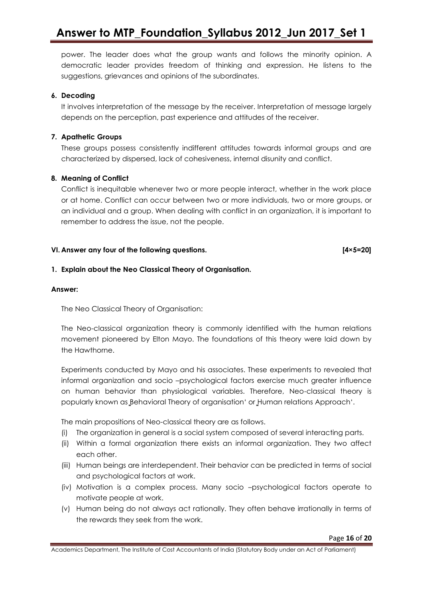power. The leader does what the group wants and follows the minority opinion. A democratic leader provides freedom of thinking and expression. He listens to the suggestions, grievances and opinions of the subordinates.

#### **6. Decoding**

It involves interpretation of the message by the receiver. Interpretation of message largely depends on the perception, past experience and attitudes of the receiver.

#### **7. Apathetic Groups**

These groups possess consistently indifferent attitudes towards informal groups and are characterized by dispersed, lack of cohesiveness, internal disunity and conflict.

#### **8. Meaning of Conflict**

Conflict is inequitable whenever two or more people interact, whether in the work place or at home. Conflict can occur between two or more individuals, two or more groups, or an individual and a group. When dealing with conflict in an organization, it is important to remember to address the issue, not the people.

#### **VI. Answer any four of the following questions. [4×5=20]**

#### **1. Explain about the Neo Classical Theory of Organisation.**

#### **Answer:**

The Neo Classical Theory of Organisation:

The Neo-classical organization theory is commonly identified with the human relations movement pioneered by Elton Mayo. The foundations of this theory were laid down by the Hawthorne.

Experiments conducted by Mayo and his associates. These experiments to revealed that informal organization and socio –psychological factors exercise much greater influence on human behavior than physiological variables. Therefore, Neo-classical theory is popularly known as Behavioral Theory of organisation' or Human relations Approach'.

The main propositions of Neo-classical theory are as follows.

- (i) The organization in general is a social system composed of several interacting parts.
- (ii) Within a formal organization there exists an informal organization. They two affect each other.
- (iii) Human beings are interdependent. Their behavior can be predicted in terms of social and psychological factors at work.
- (iv) Motivation is a complex process. Many socio –psychological factors operate to motivate people at work.
- (v) Human being do not always act rationally. They often behave irrationally in terms of the rewards they seek from the work.

Academics Department, The Institute of Cost Accountants of India (Statutory Body under an Act of Parliament)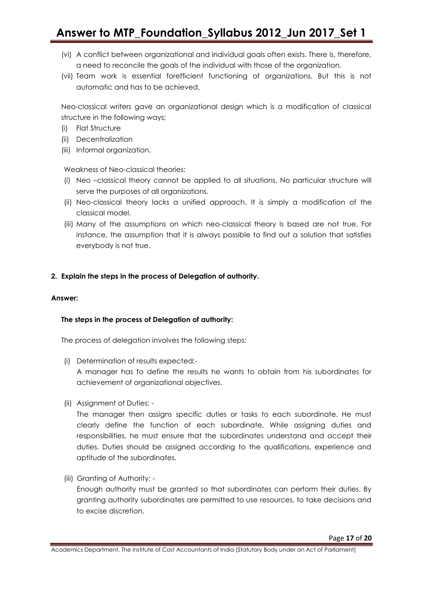- (vi) A conflict between organizational and individual goals often exists. There is, therefore, a need to reconcile the goals of the individual with those of the organization.
- (vii) Team work is essential forefficient functioning of organizations. But this is not automatic and has to be achieved.

Neo-classical writers gave an organizational design which is a modification of classical structure in the following ways;

- (i) Flat Structure
- (ii) Decentralization
- (iii) Informal organization.

Weakness of Neo-classical theories:

- (i) Neo –classical theory cannot be applied to all situations. No particular structure will serve the purposes of all organizations.
- (ii) Neo-classical theory lacks a unified approach. It is simply a modification of the classical model.
- (iii) Many of the assumptions on which neo-classical theory is based are not true. For instance, the assumption that it is always possible to find out a solution that satisfies everybody is not true.

#### **2. Explain the steps in the process of Delegation of authority.**

#### **Answer:**

#### **The steps in the process of Delegation of authority:**

The process of delegation involves the following steps:

(i) Determination of results expected:-

A manager has to define the results he wants to obtain from his subordinates for achievement of organizational objectives.

(ii) Assignment of Duties: -

The manager then assigns specific duties or tasks to each subordinate. He must clearly define the function of each subordinate. While assigning duties and responsibilities, he must ensure that the subordinates understand and accept their duties. Duties should be assigned according to the qualifications, experience and aptitude of the subordinates.

(iii) Granting of Authority: -

Enough authority must be granted so that subordinates can perform their duties. By granting authority subordinates are permitted to use resources, to take decisions and to excise discretion.

Academics Department, The Institute of Cost Accountants of India (Statutory Body under an Act of Parliament)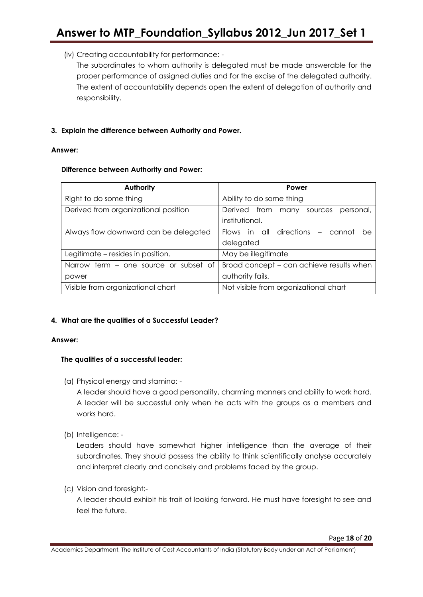(iv) Creating accountability for performance: -

The subordinates to whom authority is delegated must be made answerable for the proper performance of assigned duties and for the excise of the delegated authority. The extent of accountability depends open the extent of delegation of authority and responsibility.

#### **3. Explain the difference between Authority and Power.**

#### **Answer:**

#### **Difference between Authority and Power:**

| <b>Authority</b>                      | Power                                           |
|---------------------------------------|-------------------------------------------------|
| Right to do some thing                | Ability to do some thing                        |
| Derived from organizational position  | from<br>Derived<br>personal,<br>sources<br>many |
|                                       | institutional.                                  |
| Always flow downward can be delegated | Flows in all directions – cannot<br>be          |
|                                       | delegated                                       |
| Legitimate – resides in position.     | May be illegitimate                             |
| Narrow term – one source or subset of | Broad concept – can achieve results when        |
| power                                 | authority fails.                                |
| Visible from organizational chart     | Not visible from organizational chart           |

#### **4. What are the qualities of a Successful Leader?**

#### **Answer:**

#### **The qualities of a successful leader:**

(a) Physical energy and stamina: -

A leader should have a good personality, charming manners and ability to work hard. A leader will be successful only when he acts with the groups as a members and works hard.

(b) Intelligence: -

Leaders should have somewhat higher intelligence than the average of their subordinates. They should possess the ability to think scientifically analyse accurately and interpret clearly and concisely and problems faced by the group.

(c) Vision and foresight:-

A leader should exhibit his trait of looking forward. He must have foresight to see and feel the future.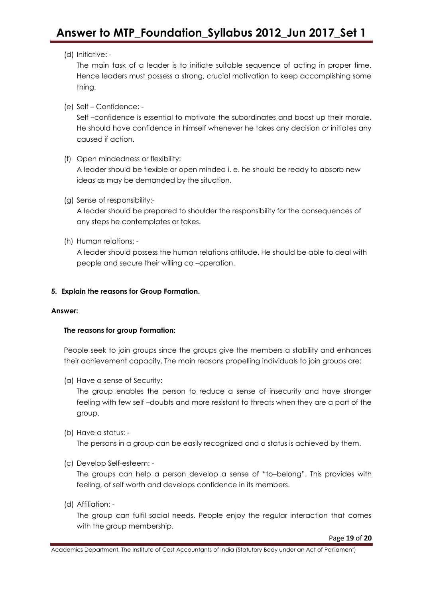#### (d) Initiative: -

The main task of a leader is to initiate suitable sequence of acting in proper time. Hence leaders must possess a strong, crucial motivation to keep accomplishing some thing.

(e) Self – Confidence: -

Self –confidence is essential to motivate the subordinates and boost up their morale. He should have confidence in himself whenever he takes any decision or initiates any caused if action.

(f) Open mindedness or flexibility:

A leader should be flexible or open minded i. e. he should be ready to absorb new ideas as may be demanded by the situation.

(g) Sense of responsibility:-

A leader should be prepared to shoulder the responsibility for the consequences of any steps he contemplates or takes.

(h) Human relations: -

A leader should possess the human relations attitude. He should be able to deal with people and secure their willing co –operation.

#### **5. Explain the reasons for Group Formation.**

#### **Answer:**

#### **The reasons for group Formation:**

People seek to join groups since the groups give the members a stability and enhances their achievement capacity. The main reasons propelling individuals to join groups are:

(a) Have a sense of Security:

The group enables the person to reduce a sense of insecurity and have stronger feeling with few self –doubts and more resistant to threats when they are a part of the group.

(b) Have a status: -

The persons in a group can be easily recognized and a status is achieved by them.

(c) Develop Self-esteem: -

The groups can help a person develop a sense of "to-belong". This provides with feeling, of self worth and develops confidence in its members.

(d) Affiliation: -

The group can fulfil social needs. People enjoy the regular interaction that comes with the group membership.

Page **19** of **20**

Academics Department, The Institute of Cost Accountants of India (Statutory Body under an Act of Parliament)